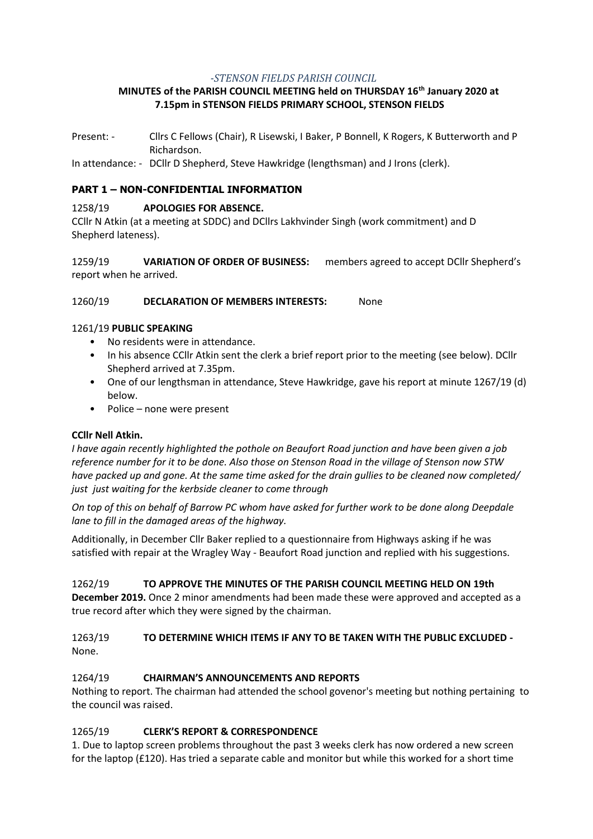#### *-STENSON FIELDS PARISH COUNCIL*

# **MINUTES of the PARISH COUNCIL MEETING held on THURSDAY 16th January 2020 at 7.15pm in STENSON FIELDS PRIMARY SCHOOL, STENSON FIELDS**

Present: - Cllrs C Fellows (Chair), R Lisewski, I Baker, P Bonnell, K Rogers, K Butterworth and P Richardson.

In attendance: - DCllr D Shepherd, Steve Hawkridge (lengthsman) and J Irons (clerk).

# **PART 1 – NON-CONFIDENTIAL INFORMATION**

## 1258/19 **APOLOGIES FOR ABSENCE.**

CCllr N Atkin (at a meeting at SDDC) and DCllrs Lakhvinder Singh (work commitment) and D Shepherd lateness).

1259/19 **VARIATION OF ORDER OF BUSINESS:** members agreed to accept DCllr Shepherd's report when he arrived.

### 1260/19 **DECLARATION OF MEMBERS INTERESTS:** None

### 1261/19 **PUBLIC SPEAKING**

- No residents were in attendance.
- In his absence CCllr Atkin sent the clerk a brief report prior to the meeting (see below). DCllr Shepherd arrived at 7.35pm.
- One of our lengthsman in attendance, Steve Hawkridge, gave his report at minute 1267/19 (d) below.
- Police none were present

#### **CCllr Nell Atkin.**

*I have again recently highlighted the pothole on Beaufort Road junction and have been given a job reference number for it to be done. Also those on Stenson Road in the village of Stenson now STW have packed up and gone. At the same time asked for the drain gullies to be cleaned now completed/ just just waiting for the kerbside cleaner to come through*

*On top of this on behalf of Barrow PC whom have asked for further work to be done along Deepdale lane to fill in the damaged areas of the highway.*

Additionally, in December Cllr Baker replied to a questionnaire from Highways asking if he was satisfied with repair at the Wragley Way - Beaufort Road junction and replied with his suggestions.

1262/19 **TO APPROVE THE MINUTES OF THE PARISH COUNCIL MEETING HELD ON 19th December 2019.** Once 2 minor amendments had been made these were approved and accepted as a true record after which they were signed by the chairman.

## 1263/19 **TO DETERMINE WHICH ITEMS IF ANY TO BE TAKEN WITH THE PUBLIC EXCLUDED -** None.

## 1264/19 **CHAIRMAN'S ANNOUNCEMENTS AND REPORTS**

Nothing to report. The chairman had attended the school govenor's meeting but nothing pertaining to the council was raised.

## 1265/19 **CLERK'S REPORT & CORRESPONDENCE**

1. Due to laptop screen problems throughout the past 3 weeks clerk has now ordered a new screen for the laptop (£120). Has tried a separate cable and monitor but while this worked for a short time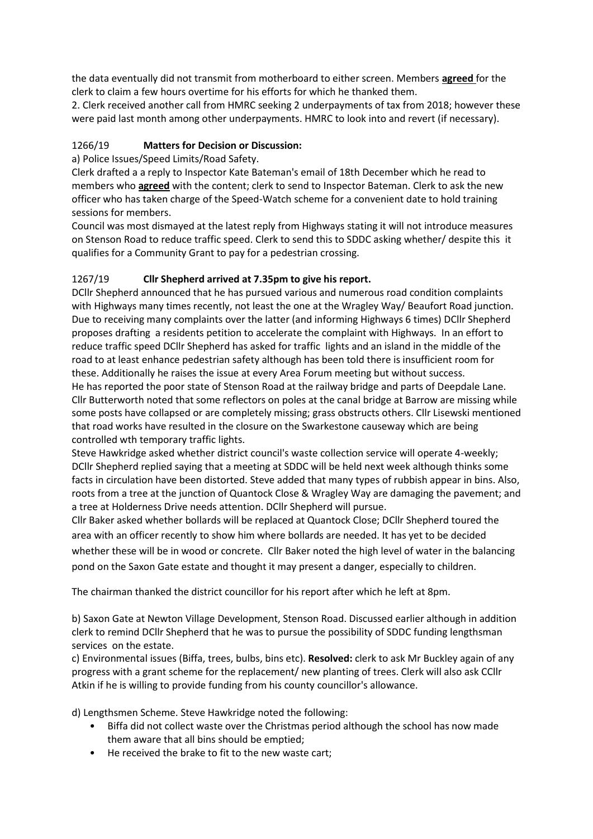the data eventually did not transmit from motherboard to either screen. Members **agreed** for the clerk to claim a few hours overtime for his efforts for which he thanked them.

2. Clerk received another call from HMRC seeking 2 underpayments of tax from 2018; however these were paid last month among other underpayments. HMRC to look into and revert (if necessary).

# 1266/19 **Matters for Decision or Discussion:**

a) Police Issues/Speed Limits/Road Safety.

Clerk drafted a a reply to Inspector Kate Bateman's email of 18th December which he read to members who **agreed** with the content; clerk to send to Inspector Bateman. Clerk to ask the new officer who has taken charge of the Speed-Watch scheme for a convenient date to hold training sessions for members.

Council was most dismayed at the latest reply from Highways stating it will not introduce measures on Stenson Road to reduce traffic speed. Clerk to send this to SDDC asking whether/ despite this it qualifies for a Community Grant to pay for a pedestrian crossing.

# 1267/19 **Cllr Shepherd arrived at 7.35pm to give his report.**

DCllr Shepherd announced that he has pursued various and numerous road condition complaints with Highways many times recently, not least the one at the Wragley Way/ Beaufort Road junction. Due to receiving many complaints over the latter (and informing Highways 6 times) DCllr Shepherd proposes drafting a residents petition to accelerate the complaint with Highways. In an effort to reduce traffic speed DCllr Shepherd has asked for traffic lights and an island in the middle of the road to at least enhance pedestrian safety although has been told there is insufficient room for these. Additionally he raises the issue at every Area Forum meeting but without success.

He has reported the poor state of Stenson Road at the railway bridge and parts of Deepdale Lane. Cllr Butterworth noted that some reflectors on poles at the canal bridge at Barrow are missing while some posts have collapsed or are completely missing; grass obstructs others. Cllr Lisewski mentioned that road works have resulted in the closure on the Swarkestone causeway which are being controlled wth temporary traffic lights.

Steve Hawkridge asked whether district council's waste collection service will operate 4-weekly; DCllr Shepherd replied saying that a meeting at SDDC will be held next week although thinks some facts in circulation have been distorted. Steve added that many types of rubbish appear in bins. Also, roots from a tree at the junction of Quantock Close & Wragley Way are damaging the pavement; and a tree at Holderness Drive needs attention. DCllr Shepherd will pursue.

Cllr Baker asked whether bollards will be replaced at Quantock Close; DCllr Shepherd toured the area with an officer recently to show him where bollards are needed. It has yet to be decided whether these will be in wood or concrete. Cllr Baker noted the high level of water in the balancing pond on the Saxon Gate estate and thought it may present a danger, especially to children.

The chairman thanked the district councillor for his report after which he left at 8pm.

b) Saxon Gate at Newton Village Development, Stenson Road. Discussed earlier although in addition clerk to remind DCllr Shepherd that he was to pursue the possibility of SDDC funding lengthsman services on the estate.

c) Environmental issues (Biffa, trees, bulbs, bins etc). **Resolved:** clerk to ask Mr Buckley again of any progress with a grant scheme for the replacement/ new planting of trees. Clerk will also ask CCllr Atkin if he is willing to provide funding from his county councillor's allowance.

d) Lengthsmen Scheme. Steve Hawkridge noted the following:

- Biffa did not collect waste over the Christmas period although the school has now made them aware that all bins should be emptied;
- He received the brake to fit to the new waste cart;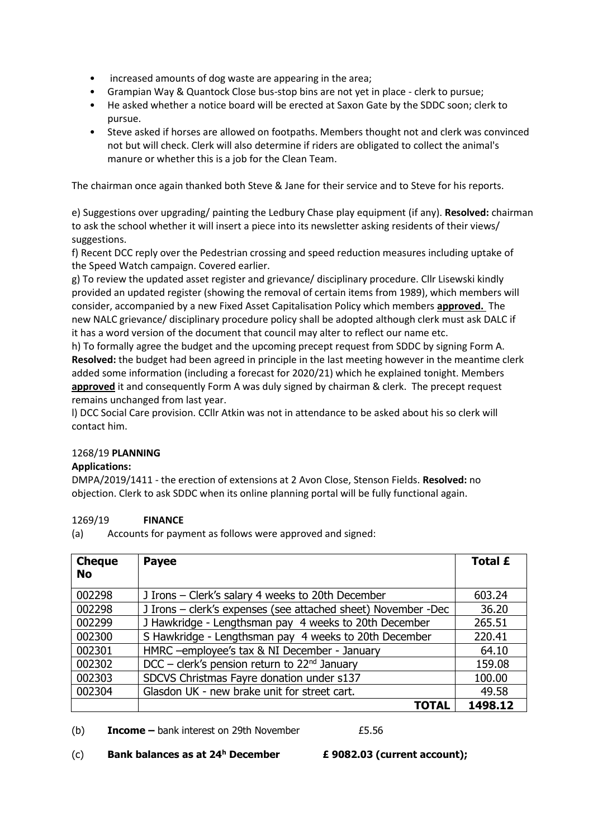- increased amounts of dog waste are appearing in the area;
- Grampian Way & Quantock Close bus-stop bins are not yet in place clerk to pursue;
- He asked whether a notice board will be erected at Saxon Gate by the SDDC soon; clerk to pursue.
- Steve asked if horses are allowed on footpaths. Members thought not and clerk was convinced not but will check. Clerk will also determine if riders are obligated to collect the animal's manure or whether this is a job for the Clean Team.

The chairman once again thanked both Steve & Jane for their service and to Steve for his reports.

e) Suggestions over upgrading/ painting the Ledbury Chase play equipment (if any). **Resolved:** chairman to ask the school whether it will insert a piece into its newsletter asking residents of their views/ suggestions.

f) Recent DCC reply over the Pedestrian crossing and speed reduction measures including uptake of the Speed Watch campaign. Covered earlier.

g) To review the updated asset register and grievance/ disciplinary procedure. Cllr Lisewski kindly provided an updated register (showing the removal of certain items from 1989), which members will consider, accompanied by a new Fixed Asset Capitalisation Policy which members **approved.** The new NALC grievance/ disciplinary procedure policy shall be adopted although clerk must ask DALC if it has a word version of the document that council may alter to reflect our name etc.

h) To formally agree the budget and the upcoming precept request from SDDC by signing Form A. **Resolved:** the budget had been agreed in principle in the last meeting however in the meantime clerk added some information (including a forecast for 2020/21) which he explained tonight. Members **approved** it and consequently Form A was duly signed by chairman & clerk. The precept request remains unchanged from last year.

l) DCC Social Care provision. CCllr Atkin was not in attendance to be asked about his so clerk will contact him.

## 1268/19 **PLANNING**

## **Applications:**

DMPA/2019/1411 - the erection of extensions at 2 Avon Close, Stenson Fields. **Resolved:** no objection. Clerk to ask SDDC when its online planning portal will be fully functional again.

## 1269/19 **FINANCE**

(a) Accounts for payment as follows were approved and signed:

| <b>Cheque</b><br><b>No</b> | <b>Payee</b>                                                  | <b>Total £</b> |
|----------------------------|---------------------------------------------------------------|----------------|
| 002298                     | J Irons – Clerk's salary 4 weeks to 20th December             | 603.24         |
| 002298                     | J Irons - clerk's expenses (see attached sheet) November -Dec | 36.20          |
| 002299                     | J Hawkridge - Lengthsman pay 4 weeks to 20th December         | 265.51         |
| 002300                     | S Hawkridge - Lengthsman pay 4 weeks to 20th December         | 220.41         |
| 002301                     | HMRC -employee's tax & NI December - January                  | 64.10          |
| 002302                     | DCC – clerk's pension return to $22nd$ January                | 159.08         |
| 002303                     | SDCVS Christmas Fayre donation under s137                     | 100.00         |
| 002304                     | Glasdon UK - new brake unit for street cart.                  | 49.58          |
|                            | TOTAL                                                         | 1498.12        |

(b) **Income** – bank interest on 29th November **E**5.56

(c) **Bank balances as at 24<sup>h</sup> December £ 9082.03 (current account);**